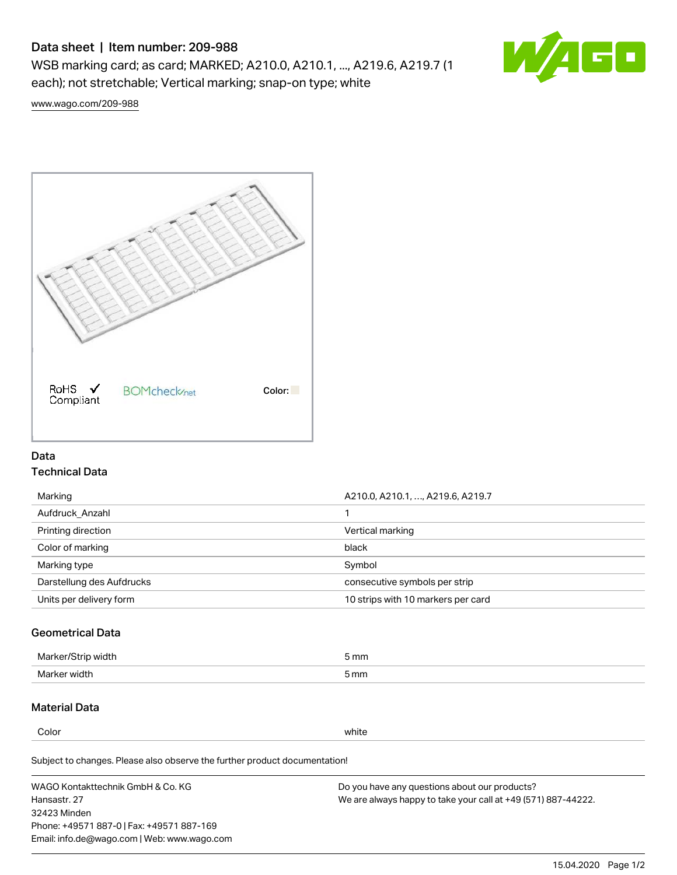# Data sheet | Item number: 209-988

WSB marking card; as card; MARKED; A210.0, A210.1, ..., A219.6, A219.7 (1 each); not stretchable; Vertical marking; snap-on type; white



[www.wago.com/209-988](http://www.wago.com/209-988)



## Data Technical Data

| Marking                   | A210.0, A210.1, , A219.6, A219.7   |
|---------------------------|------------------------------------|
| Aufdruck Anzahl           |                                    |
| Printing direction        | Vertical marking                   |
| Color of marking          | black                              |
| Marking type              | Symbol                             |
| Darstellung des Aufdrucks | consecutive symbols per strip      |
| Units per delivery form   | 10 strips with 10 markers per card |

## Geometrical Data

| طلقاء ئ<br><b>Marker</b><br>widtr | ັກmm |
|-----------------------------------|------|
| Marker width                      | 5 mm |

## Material Data

Color white

Subject to changes. Please also observe the further product documentation!

WAGO Kontakttechnik GmbH & Co. KG Hansastr. 27 32423 Minden Phone: +49571 887-0 | Fax: +49571 887-169 Email: info.de@wago.com | Web: www.wago.com Do you have any questions about our products? We are always happy to take your call at +49 (571) 887-44222.